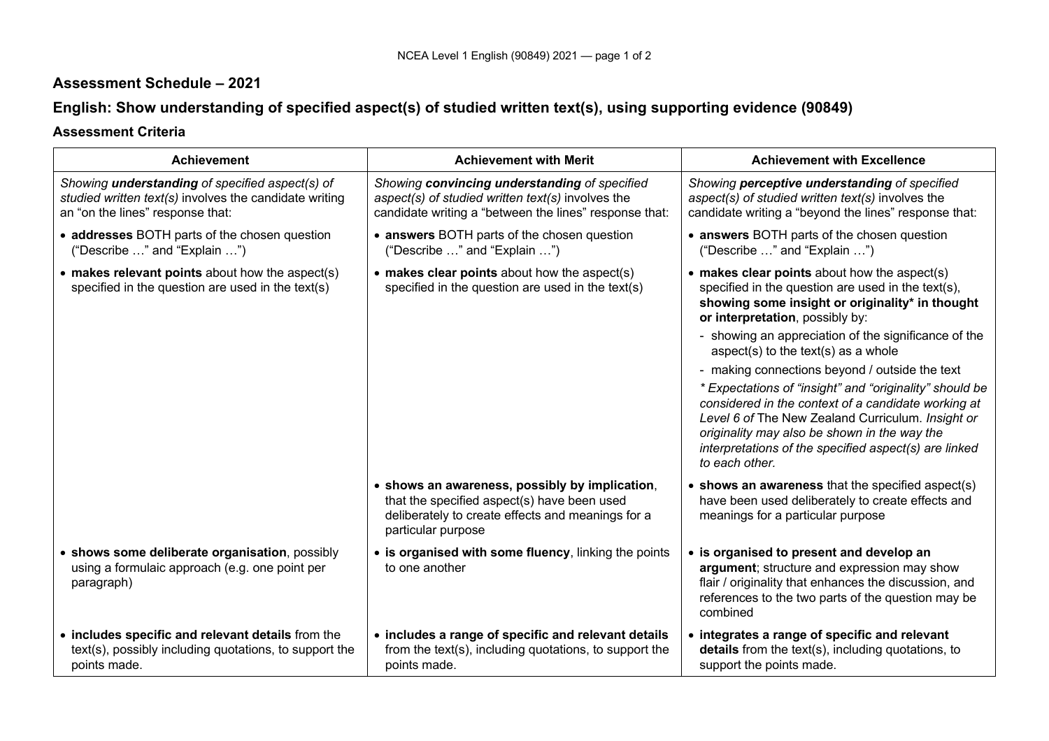## **Assessment Schedule – 2021**

# **English: Show understanding of specified aspect(s) of studied written text(s), using supporting evidence (90849)**

## **Assessment Criteria**

| <b>Achievement</b>                                                                                                                                   | <b>Achievement with Merit</b>                                                                                                                                            | <b>Achievement with Excellence</b>                                                                                                                                                                                                                                                                                                                                                                                                                                                                                                                                                                                                          |
|------------------------------------------------------------------------------------------------------------------------------------------------------|--------------------------------------------------------------------------------------------------------------------------------------------------------------------------|---------------------------------------------------------------------------------------------------------------------------------------------------------------------------------------------------------------------------------------------------------------------------------------------------------------------------------------------------------------------------------------------------------------------------------------------------------------------------------------------------------------------------------------------------------------------------------------------------------------------------------------------|
| Showing <i>understanding</i> of specified aspect(s) of<br>studied written text(s) involves the candidate writing<br>an "on the lines" response that: | Showing convincing understanding of specified<br>aspect(s) of studied written text(s) involves the<br>candidate writing a "between the lines" response that:             | Showing perceptive understanding of specified<br>aspect(s) of studied written text(s) involves the<br>candidate writing a "beyond the lines" response that:                                                                                                                                                                                                                                                                                                                                                                                                                                                                                 |
| • addresses BOTH parts of the chosen question<br>("Describe " and "Explain ")                                                                        | • answers BOTH parts of the chosen question<br>("Describe " and "Explain ")                                                                                              | • answers BOTH parts of the chosen question<br>("Describe " and "Explain ")                                                                                                                                                                                                                                                                                                                                                                                                                                                                                                                                                                 |
| • makes relevant points about how the aspect(s)<br>specified in the question are used in the text(s)                                                 | • makes clear points about how the aspect(s)<br>specified in the question are used in the text(s)                                                                        | • makes clear points about how the aspect(s)<br>specified in the question are used in the text(s),<br>showing some insight or originality* in thought<br>or interpretation, possibly by:<br>- showing an appreciation of the significance of the<br>aspect(s) to the text(s) as a whole<br>- making connections beyond / outside the text<br>* Expectations of "insight" and "originality" should be<br>considered in the context of a candidate working at<br>Level 6 of The New Zealand Curriculum. Insight or<br>originality may also be shown in the way the<br>interpretations of the specified aspect(s) are linked<br>to each other. |
|                                                                                                                                                      | • shows an awareness, possibly by implication,<br>that the specified aspect(s) have been used<br>deliberately to create effects and meanings for a<br>particular purpose | • shows an awareness that the specified aspect(s)<br>have been used deliberately to create effects and<br>meanings for a particular purpose                                                                                                                                                                                                                                                                                                                                                                                                                                                                                                 |
| • shows some deliberate organisation, possibly<br>using a formulaic approach (e.g. one point per<br>paragraph)                                       | • is organised with some fluency, linking the points<br>to one another                                                                                                   | • is organised to present and develop an<br>argument; structure and expression may show<br>flair / originality that enhances the discussion, and<br>references to the two parts of the question may be<br>combined                                                                                                                                                                                                                                                                                                                                                                                                                          |
| • includes specific and relevant details from the<br>text(s), possibly including quotations, to support the<br>points made.                          | • includes a range of specific and relevant details<br>from the text(s), including quotations, to support the<br>points made.                                            | • integrates a range of specific and relevant<br>details from the text(s), including quotations, to<br>support the points made.                                                                                                                                                                                                                                                                                                                                                                                                                                                                                                             |